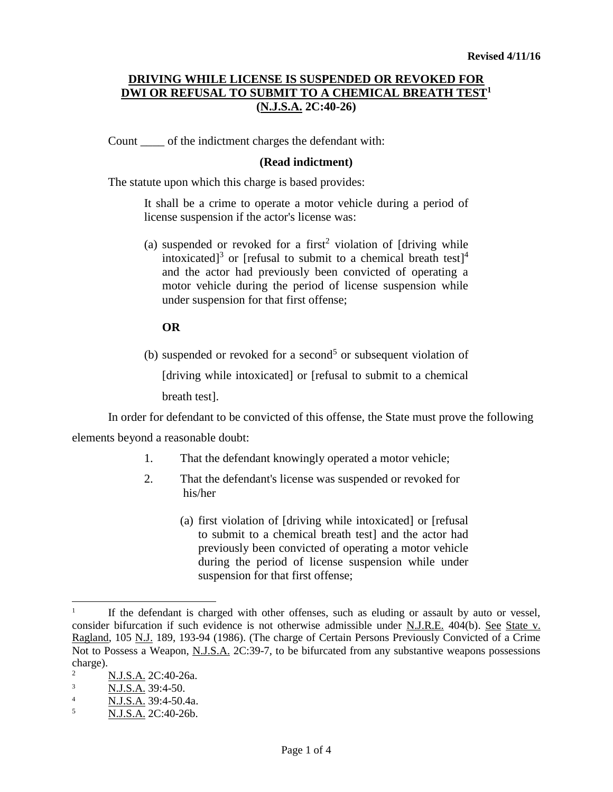# **DRIVING WHILE LICENSE IS SUSPENDED OR REVOKED FOR DWI OR REFUSAL TO SUBMIT TO A CHEMICAL BREATH TEST<sup>1</sup> (N.J.S.A. 2C:40-26)**

Count \_\_\_\_ of the indictment charges the defendant with:

#### **(Read indictment)**

The statute upon which this charge is based provides:

It shall be a crime to operate a motor vehicle during a period of license suspension if the actor's license was:

(a) suspended or revoked for a first<sup>2</sup> violation of [driving while intoxicated]<sup>3</sup> or [refusal to submit to a chemical breath test]<sup>4</sup> and the actor had previously been convicted of operating a motor vehicle during the period of license suspension while under suspension for that first offense;

#### **OR**

(b) suspended or revoked for a second<sup>5</sup> or subsequent violation of [driving while intoxicated] or [refusal to submit to a chemical breath test].

In order for defendant to be convicted of this offense, the State must prove the following

elements beyond a reasonable doubt:

- 1. That the defendant knowingly operated a motor vehicle;
- 2. That the defendant's license was suspended or revoked for his/her
	- (a) first violation of [driving while intoxicated] or [refusal to submit to a chemical breath test] and the actor had previously been convicted of operating a motor vehicle during the period of license suspension while under suspension for that first offense;

 $\overline{a}$ 

<sup>1</sup> If the defendant is charged with other offenses, such as eluding or assault by auto or vessel, consider bifurcation if such evidence is not otherwise admissible under N.J.R.E. 404(b). See State v. Ragland, 105 N.J. 189, 193-94 (1986). (The charge of Certain Persons Previously Convicted of a Crime Not to Possess a Weapon, N.J.S.A. 2C:39-7, to be bifurcated from any substantive weapons possessions charge).

<sup>2</sup>  $\frac{2}{3}$  N.J.S.A. 2C:40-26a.

<sup>3</sup> N.J.S.A. 39:4-50.

<sup>4</sup> N.J.S.A. 39:4-50.4a.

<sup>5</sup> N.J.S.A. 2C:40-26b.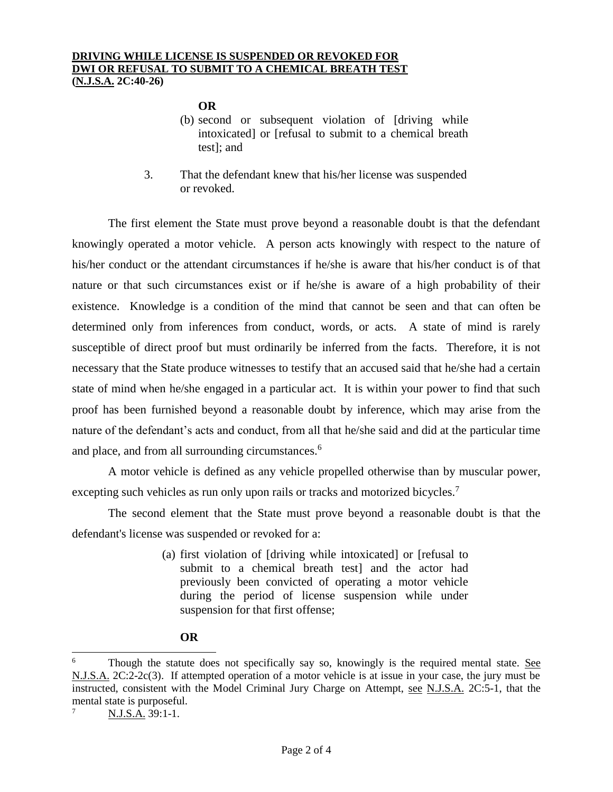### **OR**

- (b) second or subsequent violation of [driving while intoxicated] or [refusal to submit to a chemical breath test]; and
- 3. That the defendant knew that his/her license was suspended or revoked.

The first element the State must prove beyond a reasonable doubt is that the defendant knowingly operated a motor vehicle. A person acts knowingly with respect to the nature of his/her conduct or the attendant circumstances if he/she is aware that his/her conduct is of that nature or that such circumstances exist or if he/she is aware of a high probability of their existence. Knowledge is a condition of the mind that cannot be seen and that can often be determined only from inferences from conduct, words, or acts. A state of mind is rarely susceptible of direct proof but must ordinarily be inferred from the facts. Therefore, it is not necessary that the State produce witnesses to testify that an accused said that he/she had a certain state of mind when he/she engaged in a particular act. It is within your power to find that such proof has been furnished beyond a reasonable doubt by inference, which may arise from the nature of the defendant's acts and conduct, from all that he/she said and did at the particular time and place, and from all surrounding circumstances.<sup>6</sup>

A motor vehicle is defined as any vehicle propelled otherwise than by muscular power, excepting such vehicles as run only upon rails or tracks and motorized bicycles.<sup>7</sup>

The second element that the State must prove beyond a reasonable doubt is that the defendant's license was suspended or revoked for a:

> (a) first violation of [driving while intoxicated] or [refusal to submit to a chemical breath test] and the actor had previously been convicted of operating a motor vehicle during the period of license suspension while under suspension for that first offense;

## **OR**

 $\overline{a}$ 

<sup>6</sup> Though the statute does not specifically say so, knowingly is the required mental state. See N.J.S.A. 2C:2-2c(3). If attempted operation of a motor vehicle is at issue in your case, the jury must be instructed, consistent with the Model Criminal Jury Charge on Attempt, see N.J.S.A. 2C:5-1, that the mental state is purposeful.

N.J.S.A. 39:1-1.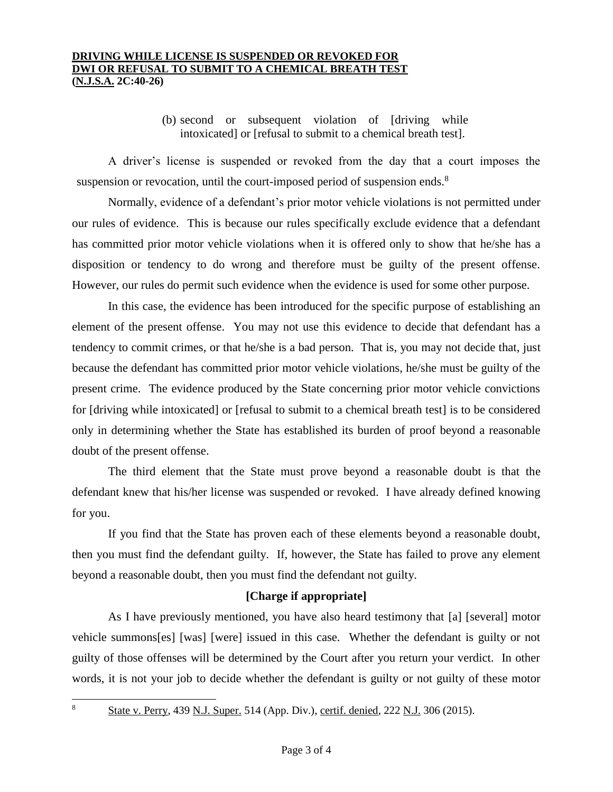### **DRIVING WHILE LICENSE IS SUSPENDED OR REVOKED FOR DWI OR REFUSAL TO SUBMIT TO A CHEMICAL BREATH TEST (N.J.S.A. 2C:40-26)**

(b) second or subsequent violation of [driving while intoxicated] or [refusal to submit to a chemical breath test].

A driver's license is suspended or revoked from the day that a court imposes the suspension or revocation, until the court-imposed period of suspension ends.<sup>8</sup>

Normally, evidence of a defendant's prior motor vehicle violations is not permitted under our rules of evidence. This is because our rules specifically exclude evidence that a defendant has committed prior motor vehicle violations when it is offered only to show that he/she has a disposition or tendency to do wrong and therefore must be guilty of the present offense. However, our rules do permit such evidence when the evidence is used for some other purpose.

In this case, the evidence has been introduced for the specific purpose of establishing an element of the present offense. You may not use this evidence to decide that defendant has a tendency to commit crimes, or that he/she is a bad person. That is, you may not decide that, just because the defendant has committed prior motor vehicle violations, he/she must be guilty of the present crime. The evidence produced by the State concerning prior motor vehicle convictions for [driving while intoxicated] or [refusal to submit to a chemical breath test] is to be considered only in determining whether the State has established its burden of proof beyond a reasonable doubt of the present offense.

The third element that the State must prove beyond a reasonable doubt is that the defendant knew that his/her license was suspended or revoked. I have already defined knowing for you.

If you find that the State has proven each of these elements beyond a reasonable doubt, then you must find the defendant guilty. If, however, the State has failed to prove any element beyond a reasonable doubt, then you must find the defendant not guilty.

## **[Charge if appropriate]**

As I have previously mentioned, you have also heard testimony that [a] [several] motor vehicle summons[es] [was] [were] issued in this case. Whether the defendant is guilty or not guilty of those offenses will be determined by the Court after you return your verdict. In other words, it is not your job to decide whether the defendant is guilty or not guilty of these motor

 $\overline{a}$ 8

State v. Perry, 439 N.J. Super. 514 (App. Div.), certif. denied, 222 N.J. 306 (2015).